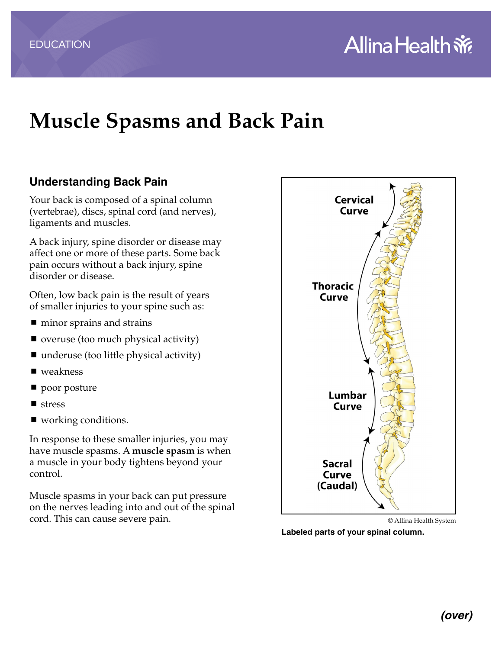# **Muscle Spasms and Back Pain**

## **Understanding Back Pain**

Your back is composed of a spinal column (vertebrae), discs, spinal cord (and nerves), ligaments and muscles.

A back injury, spine disorder or disease may affect one or more of these parts. Some back pain occurs without a back injury, spine disorder or disease.

Often, low back pain is the result of years of smaller injuries to your spine such as:

- minor sprains and strains
- overuse (too much physical activity)
- $\blacksquare$  underuse (too little physical activity)
- weakness
- poor posture
- **stress**
- working conditions.

In response to these smaller injuries, you may have muscle spasms. A **muscle spasm** is when a muscle in your body tightens beyond your control.

Muscle spasms in your back can put pressure on the nerves leading into and out of the spinal cord. This can cause severe pain.



© Allina Health System

**Labeled parts of your spinal column.**